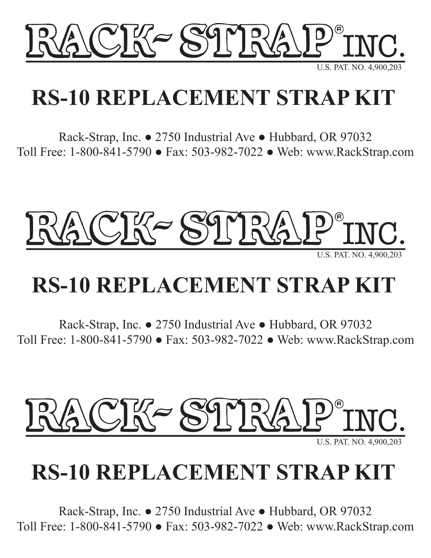

U.S. PAT. NO. 4,900,203

## **RS-10 REPLACEMENT STRAP KIT**

Rack-Strap, Inc. ● 2750 Industrial Ave ● Hubbard, OR 97032 Toll Free: 1-800-841-5790 ● Fax: 503-982-7022 ● Web: www.RackStrap.com